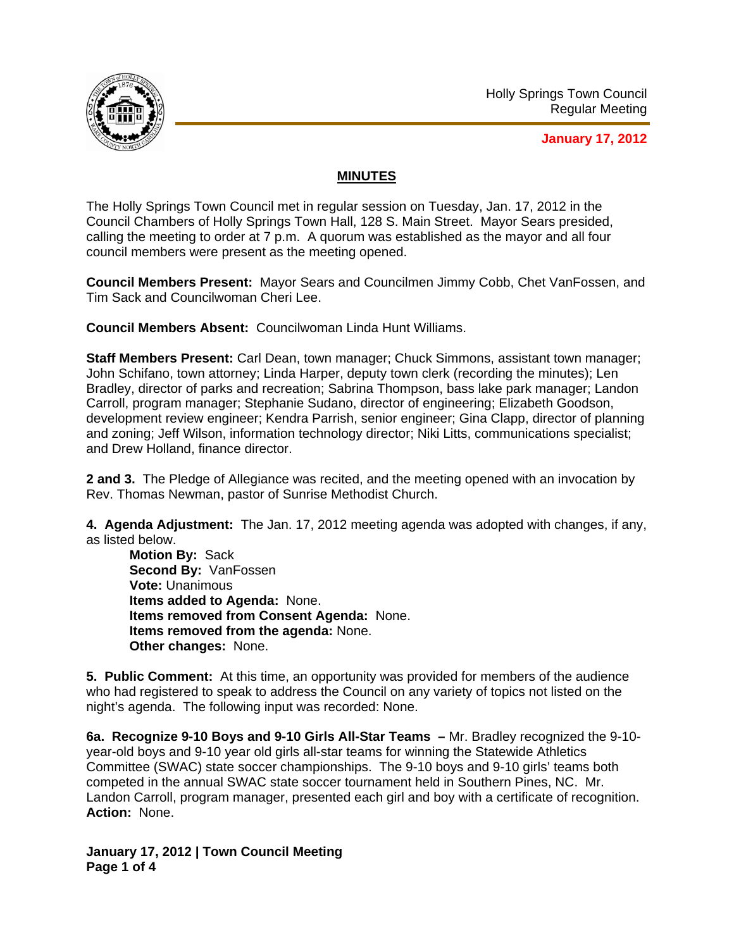

**January 17, 2012**

## **MINUTES**

The Holly Springs Town Council met in regular session on Tuesday, Jan. 17, 2012 in the Council Chambers of Holly Springs Town Hall, 128 S. Main Street. Mayor Sears presided, calling the meeting to order at 7 p.m. A quorum was established as the mayor and all four council members were present as the meeting opened.

**Council Members Present:** Mayor Sears and Councilmen Jimmy Cobb, Chet VanFossen, and Tim Sack and Councilwoman Cheri Lee.

**Council Members Absent:** Councilwoman Linda Hunt Williams.

**Staff Members Present:** Carl Dean, town manager; Chuck Simmons, assistant town manager; John Schifano, town attorney; Linda Harper, deputy town clerk (recording the minutes); Len Bradley, director of parks and recreation; Sabrina Thompson, bass lake park manager; Landon Carroll, program manager; Stephanie Sudano, director of engineering; Elizabeth Goodson, development review engineer; Kendra Parrish, senior engineer; Gina Clapp, director of planning and zoning; Jeff Wilson, information technology director; Niki Litts, communications specialist; and Drew Holland, finance director.

**2 and 3.** The Pledge of Allegiance was recited, and the meeting opened with an invocation by Rev. Thomas Newman, pastor of Sunrise Methodist Church.

**4. Agenda Adjustment:** The Jan. 17, 2012 meeting agenda was adopted with changes, if any, as listed below.

**Motion By:** Sack **Second By:** VanFossen **Vote:** Unanimous **Items added to Agenda:** None. **Items removed from Consent Agenda:** None. **Items removed from the agenda:** None. **Other changes:** None.

**5. Public Comment:** At this time, an opportunity was provided for members of the audience who had registered to speak to address the Council on any variety of topics not listed on the night's agenda. The following input was recorded: None.

**6a. Recognize 9-10 Boys and 9-10 Girls All-Star Teams –** Mr. Bradley recognized the 9-10 year-old boys and 9-10 year old girls all-star teams for winning the Statewide Athletics Committee (SWAC) state soccer championships. The 9-10 boys and 9-10 girls' teams both competed in the annual SWAC state soccer tournament held in Southern Pines, NC. Mr. Landon Carroll, program manager, presented each girl and boy with a certificate of recognition. **Action:** None.

**January 17, 2012 | Town Council Meeting Page 1 of 4**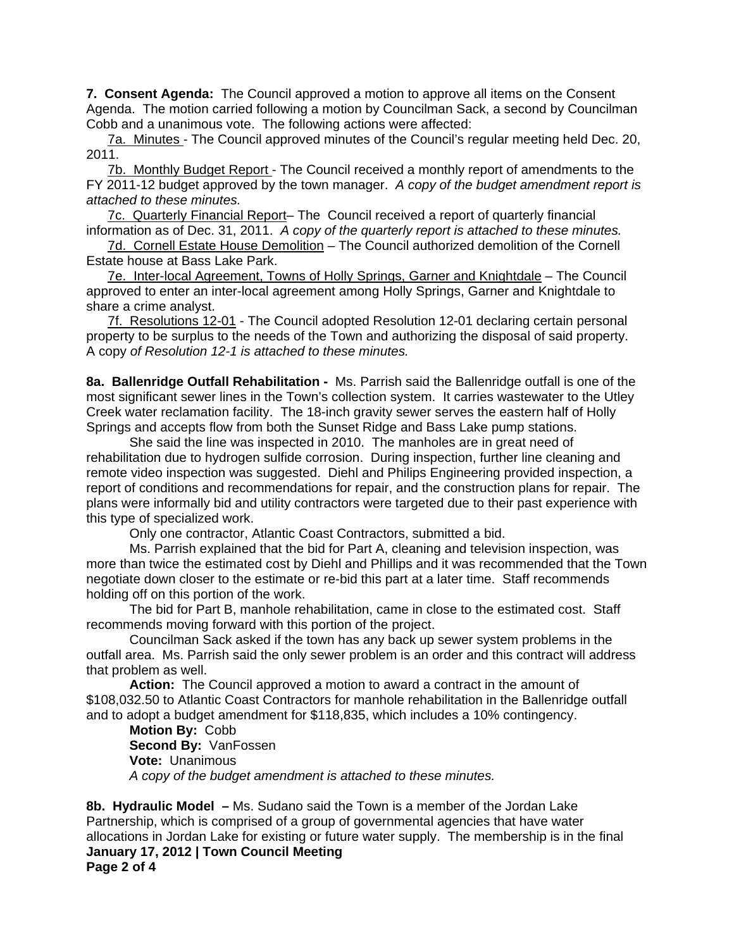**7. Consent Agenda:** The Council approved a motion to approve all items on the Consent Agenda. The motion carried following a motion by Councilman Sack, a second by Councilman Cobb and a unanimous vote. The following actions were affected:

7a. Minutes - The Council approved minutes of the Council's regular meeting held Dec. 20, 2011.

7b. Monthly Budget Report - The Council received a monthly report of amendments to the FY 2011-12 budget approved by the town manager. *A copy of the budget amendment report is attached to these minutes.* 

7c. Quarterly Financial Report- The Council received a report of quarterly financial information as of Dec. 31, 2011. *A copy of the quarterly report is attached to these minutes.*

7d. Cornell Estate House Demolition – The Council authorized demolition of the Cornell Estate house at Bass Lake Park.

7e. Inter-local Agreement, Towns of Holly Springs, Garner and Knightdale – The Council approved to enter an inter-local agreement among Holly Springs, Garner and Knightdale to share a crime analyst.

7f. Resolutions 12-01 - The Council adopted Resolution 12-01 declaring certain personal property to be surplus to the needs of the Town and authorizing the disposal of said property. A copy *of Resolution 12-1 is attached to these minutes.*

**8a. Ballenridge Outfall Rehabilitation -** Ms. Parrish said the Ballenridge outfall is one of the most significant sewer lines in the Town's collection system. It carries wastewater to the Utley Creek water reclamation facility. The 18-inch gravity sewer serves the eastern half of Holly Springs and accepts flow from both the Sunset Ridge and Bass Lake pump stations.

 She said the line was inspected in 2010. The manholes are in great need of rehabilitation due to hydrogen sulfide corrosion. During inspection, further line cleaning and remote video inspection was suggested. Diehl and Philips Engineering provided inspection, a report of conditions and recommendations for repair, and the construction plans for repair. The plans were informally bid and utility contractors were targeted due to their past experience with this type of specialized work.

Only one contractor, Atlantic Coast Contractors, submitted a bid.

Ms. Parrish explained that the bid for Part A, cleaning and television inspection, was more than twice the estimated cost by Diehl and Phillips and it was recommended that the Town negotiate down closer to the estimate or re-bid this part at a later time. Staff recommends holding off on this portion of the work.

 The bid for Part B, manhole rehabilitation, came in close to the estimated cost. Staff recommends moving forward with this portion of the project.

Councilman Sack asked if the town has any back up sewer system problems in the outfall area. Ms. Parrish said the only sewer problem is an order and this contract will address that problem as well.

**Action:** The Council approved a motion to award a contract in the amount of \$108,032.50 to Atlantic Coast Contractors for manhole rehabilitation in the Ballenridge outfall and to adopt a budget amendment for \$118,835, which includes a 10% contingency.

**Motion By:** Cobb  **Second By:** VanFossen  **Vote:** Unanimous *A copy of the budget amendment is attached to these minutes.* 

**January 17, 2012 | Town Council Meeting Page 2 of 4 8b. Hydraulic Model –** Ms. Sudano said the Town is a member of the Jordan Lake Partnership, which is comprised of a group of governmental agencies that have water allocations in Jordan Lake for existing or future water supply. The membership is in the final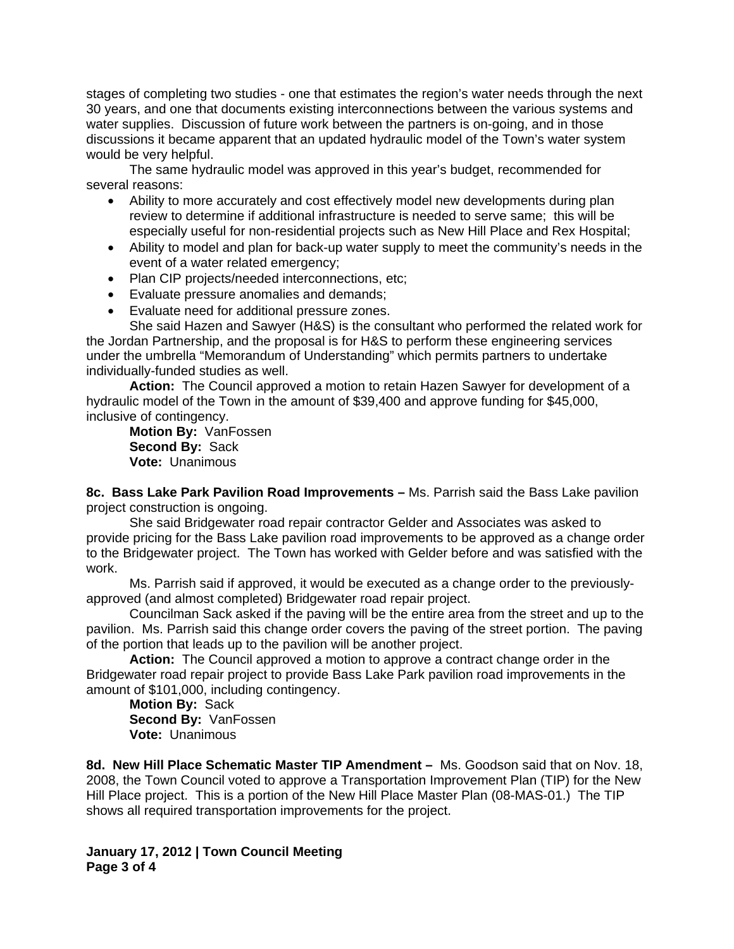stages of completing two studies - one that estimates the region's water needs through the next 30 years, and one that documents existing interconnections between the various systems and water supplies. Discussion of future work between the partners is on-going, and in those discussions it became apparent that an updated hydraulic model of the Town's water system would be very helpful.

 The same hydraulic model was approved in this year's budget, recommended for several reasons:

- Ability to more accurately and cost effectively model new developments during plan review to determine if additional infrastructure is needed to serve same; this will be especially useful for non-residential projects such as New Hill Place and Rex Hospital;
- Ability to model and plan for back-up water supply to meet the community's needs in the event of a water related emergency;
- Plan CIP projects/needed interconnections, etc;
- Evaluate pressure anomalies and demands;
- Evaluate need for additional pressure zones.

She said Hazen and Sawyer (H&S) is the consultant who performed the related work for the Jordan Partnership, and the proposal is for H&S to perform these engineering services under the umbrella "Memorandum of Understanding" which permits partners to undertake individually-funded studies as well.

**Action:** The Council approved a motion to retain Hazen Sawyer for development of a hydraulic model of the Town in the amount of \$39,400 and approve funding for \$45,000, inclusive of contingency.

**Motion By:** VanFossen  **Second By:** Sack  **Vote:** Unanimous

**8c. Bass Lake Park Pavilion Road Improvements –** Ms. Parrish said the Bass Lake pavilion project construction is ongoing.

 She said Bridgewater road repair contractor Gelder and Associates was asked to provide pricing for the Bass Lake pavilion road improvements to be approved as a change order to the Bridgewater project. The Town has worked with Gelder before and was satisfied with the work.

 Ms. Parrish said if approved, it would be executed as a change order to the previouslyapproved (and almost completed) Bridgewater road repair project.

Councilman Sack asked if the paving will be the entire area from the street and up to the pavilion. Ms. Parrish said this change order covers the paving of the street portion. The paving of the portion that leads up to the pavilion will be another project.

**Action:** The Council approved a motion to approve a contract change order in the Bridgewater road repair project to provide Bass Lake Park pavilion road improvements in the amount of \$101,000, including contingency.

**Motion By:** Sack  **Second By:** VanFossen  **Vote:** Unanimous

**8d. New Hill Place Schematic Master TIP Amendment –** Ms. Goodson said that on Nov. 18, 2008, the Town Council voted to approve a Transportation Improvement Plan (TIP) for the New Hill Place project. This is a portion of the New Hill Place Master Plan (08-MAS-01.) The TIP shows all required transportation improvements for the project.

**January 17, 2012 | Town Council Meeting Page 3 of 4**